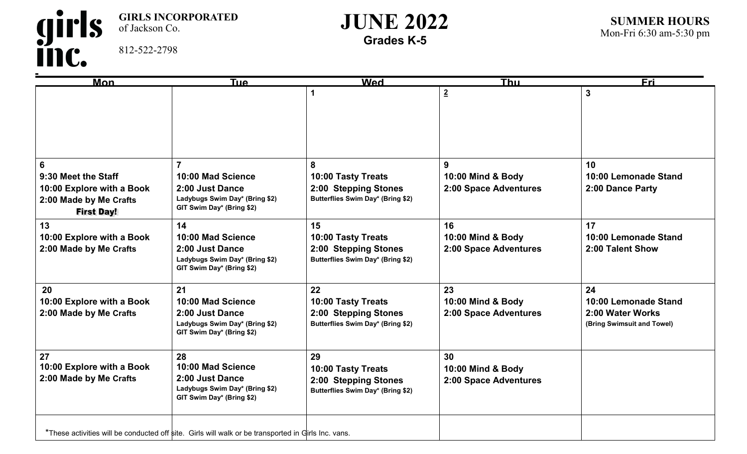girls<br>inc. **GIRLS INCORPORATED**  of Jackson Co. 812-522-2798

## **JUNE 2022 Grades K-5**

| $\overline{\mathsf{Mon}}$ | <b>Tue</b>                                                                                          | <b>Wed</b>                        | <b>Thu</b>            | <b>Eri</b>                 |
|---------------------------|-----------------------------------------------------------------------------------------------------|-----------------------------------|-----------------------|----------------------------|
|                           |                                                                                                     |                                   | $\overline{2}$        | $\mathbf{3}$               |
|                           |                                                                                                     |                                   |                       |                            |
|                           |                                                                                                     |                                   |                       |                            |
|                           |                                                                                                     |                                   |                       |                            |
|                           |                                                                                                     |                                   |                       |                            |
|                           |                                                                                                     |                                   |                       |                            |
| 6                         | $\overline{7}$                                                                                      | 8                                 | 9                     | 10                         |
| 9:30 Meet the Staff       | 10:00 Mad Science                                                                                   | 10:00 Tasty Treats                | 10:00 Mind & Body     | 10:00 Lemonade Stand       |
| 10:00 Explore with a Book | 2:00 Just Dance                                                                                     | 2:00 Stepping Stones              | 2:00 Space Adventures | 2:00 Dance Party           |
| 2:00 Made by Me Crafts    | Ladybugs Swim Day* (Bring \$2)                                                                      | Butterflies Swim Day* (Bring \$2) |                       |                            |
| <b>First Day!</b>         | GIT Swim Day* (Bring \$2)                                                                           |                                   |                       |                            |
| 13                        | 14                                                                                                  | 15                                | 16                    | 17                         |
| 10:00 Explore with a Book | 10:00 Mad Science                                                                                   | 10:00 Tasty Treats                | 10:00 Mind & Body     | 10:00 Lemonade Stand       |
| 2:00 Made by Me Crafts    | 2:00 Just Dance                                                                                     | 2:00 Stepping Stones              | 2:00 Space Adventures | 2:00 Talent Show           |
|                           | Ladybugs Swim Day* (Bring \$2)                                                                      | Butterflies Swim Day* (Bring \$2) |                       |                            |
|                           | GIT Swim Day* (Bring \$2)                                                                           |                                   |                       |                            |
| 20                        | 21                                                                                                  | 22                                | 23                    | 24                         |
| 10:00 Explore with a Book | 10:00 Mad Science                                                                                   | 10:00 Tasty Treats                | 10:00 Mind & Body     | 10:00 Lemonade Stand       |
| 2:00 Made by Me Crafts    | 2:00 Just Dance                                                                                     | 2:00 Stepping Stones              | 2:00 Space Adventures | 2:00 Water Works           |
|                           | Ladybugs Swim Day* (Bring \$2)                                                                      | Butterflies Swim Day* (Bring \$2) |                       | (Bring Swimsuit and Towel) |
|                           | GIT Swim Day* (Bring \$2)                                                                           |                                   |                       |                            |
|                           |                                                                                                     |                                   |                       |                            |
| 27                        | 28                                                                                                  | 29                                | 30                    |                            |
| 10:00 Explore with a Book | 10:00 Mad Science                                                                                   | 10:00 Tasty Treats                | 10:00 Mind & Body     |                            |
| 2:00 Made by Me Crafts    | 2:00 Just Dance                                                                                     | 2:00 Stepping Stones              | 2:00 Space Adventures |                            |
|                           | Ladybugs Swim Day* (Bring \$2)<br>GIT Swim Day* (Bring \$2)                                         | Butterflies Swim Day* (Bring \$2) |                       |                            |
|                           |                                                                                                     |                                   |                       |                            |
|                           |                                                                                                     |                                   |                       |                            |
|                           | *These activities will be conducted off site. Girls will walk or be transported in Girls Inc. vans. |                                   |                       |                            |